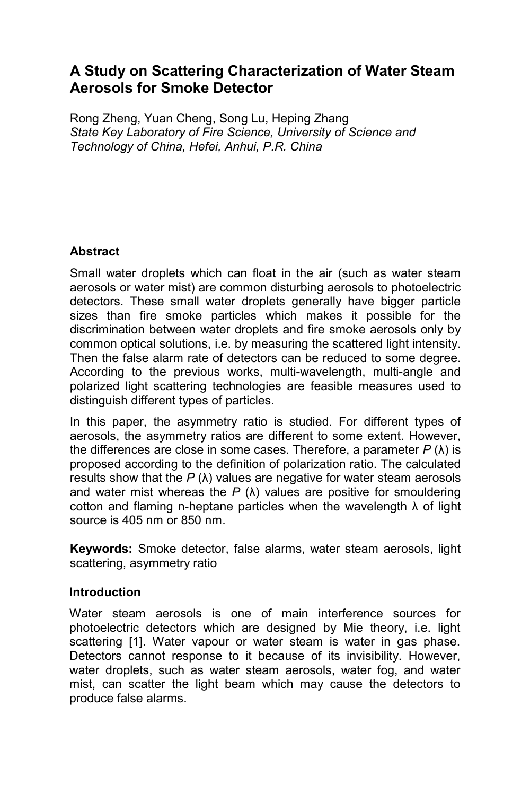# **A Study on Scattering Characterization of Water Steam Aerosols for Smoke Detector**

Rong Zheng, Yuan Cheng, Song Lu, Heping Zhang *State Key Laboratory of Fire Science, University of Science and Technology of China, Hefei, Anhui, P.R. China* 

## **Abstract**

Small water droplets which can float in the air (such as water steam aerosols or water mist) are common disturbing aerosols to photoelectric detectors. These small water droplets generally have bigger particle sizes than fire smoke particles which makes it possible for the discrimination between water droplets and fire smoke aerosols only by common optical solutions, i.e. by measuring the scattered light intensity. Then the false alarm rate of detectors can be reduced to some degree. According to the previous works, multi-wavelength, multi-angle and polarized light scattering technologies are feasible measures used to distinguish different types of particles.

In this paper, the asymmetry ratio is studied. For different types of aerosols, the asymmetry ratios are different to some extent. However, the differences are close in some cases. Therefore, a parameter *P* (λ) is proposed according to the definition of polarization ratio. The calculated results show that the  $P(\lambda)$  values are negative for water steam aerosols and water mist whereas the  $P(\lambda)$  values are positive for smouldering cotton and flaming n-heptane particles when the wavelength  $\lambda$  of light source is 405 nm or 850 nm.

**Keywords:** Smoke detector, false alarms, water steam aerosols, light scattering, asymmetry ratio

## **Introduction**

Water steam aerosols is one of main interference sources for photoelectric detectors which are designed by Mie theory, i.e. light scattering [1]. Water vapour or water steam is water in gas phase. Detectors cannot response to it because of its invisibility. However, water droplets, such as water steam aerosols, water fog, and water mist, can scatter the light beam which may cause the detectors to produce false alarms.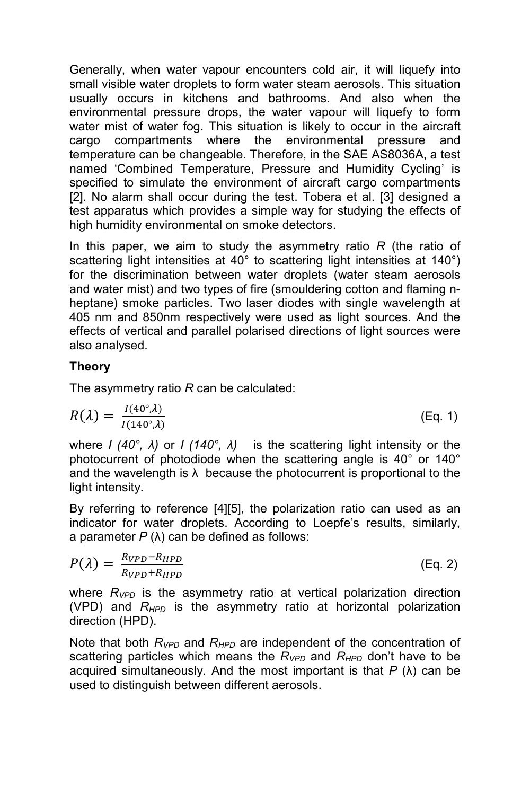Generally, when water vapour encounters cold air, it will liquefy into small visible water droplets to form water steam aerosols. This situation usually occurs in kitchens and bathrooms. And also when the environmental pressure drops, the water vapour will liquefy to form water mist of water fog. This situation is likely to occur in the aircraft cargo compartments where the environmental pressure and temperature can be changeable. Therefore, in the SAE AS8036A, a test named 'Combined Temperature, Pressure and Humidity Cycling' is specified to simulate the environment of aircraft cargo compartments [2]. No alarm shall occur during the test. Tobera et al. [3] designed a test apparatus which provides a simple way for studying the effects of high humidity environmental on smoke detectors.

In this paper, we aim to study the asymmetry ratio *R* (the ratio of scattering light intensities at 40° to scattering light intensities at 140°) for the discrimination between water droplets (water steam aerosols and water mist) and two types of fire (smouldering cotton and flaming nheptane) smoke particles. Two laser diodes with single wavelength at 405 nm and 850nm respectively were used as light sources. And the effects of vertical and parallel polarised directions of light sources were also analysed.

### **Theory**

The asymmetry ratio *R* can be calculated:

$$
R(\lambda) = \frac{I(40^\circ, \lambda)}{I(140^\circ, \lambda)}
$$
 (Eq. 1)

where *I (40°, λ)* or *I (140°, λ)* is the scattering light intensity or the photocurrent of photodiode when the scattering angle is 40° or 140° and the wavelength is  $\lambda$  because the photocurrent is proportional to the light intensity.

By referring to reference [4][5], the polarization ratio can used as an indicator for water droplets. According to Loepfe's results, similarly, a parameter *P* (λ) can be defined as follows:

$$
P(\lambda) = \frac{R_{VPD} - R_{HPD}}{R_{VPD} + R_{HPD}} \tag{Eq. 2}
$$

where *RVPD* is the asymmetry ratio at vertical polarization direction (VPD) and *RHPD* is the asymmetry ratio at horizontal polarization direction (HPD).

Note that both *RVPD* and *RHPD* are independent of the concentration of scattering particles which means the  $R_{VPD}$  and  $R_{HPD}$  don't have to be acquired simultaneously. And the most important is that *P* (λ) can be used to distinguish between different aerosols.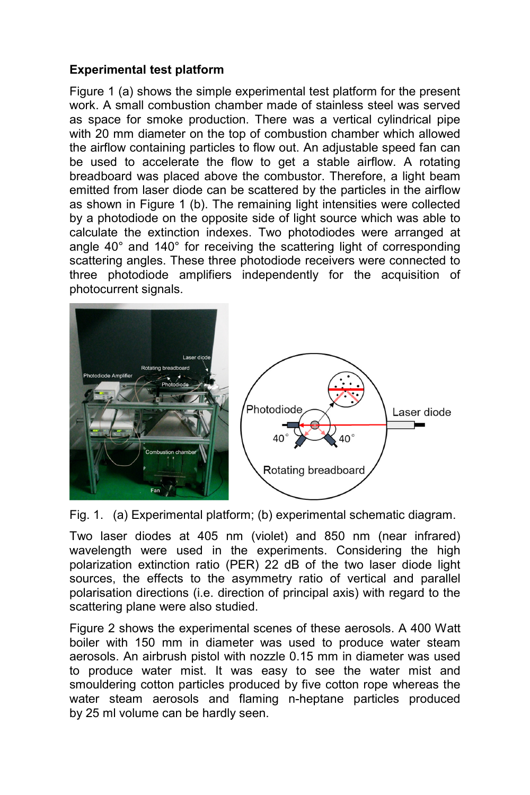## **Experimental test platform**

Figure 1 (a) shows the simple experimental test platform for the present work. A small combustion chamber made of stainless steel was served as space for smoke production. There was a vertical cylindrical pipe with 20 mm diameter on the top of combustion chamber which allowed the airflow containing particles to flow out. An adjustable speed fan can be used to accelerate the flow to get a stable airflow. A rotating breadboard was placed above the combustor. Therefore, a light beam emitted from laser diode can be scattered by the particles in the airflow as shown in Figure 1 (b). The remaining light intensities were collected by a photodiode on the opposite side of light source which was able to calculate the extinction indexes. Two photodiodes were arranged at angle 40° and 140° for receiving the scattering light of corresponding scattering angles. These three photodiode receivers were connected to three photodiode amplifiers independently for the acquisition of photocurrent signals.



Fig. 1. (a) Experimental platform; (b) experimental schematic diagram.

Two laser diodes at 405 nm (violet) and 850 nm (near infrared) wavelength were used in the experiments. Considering the high polarization extinction ratio (PER) 22 dB of the two laser diode light sources, the effects to the asymmetry ratio of vertical and parallel polarisation directions (i.e. direction of principal axis) with regard to the scattering plane were also studied.

Figure 2 shows the experimental scenes of these aerosols. A 400 Watt boiler with 150 mm in diameter was used to produce water steam aerosols. An airbrush pistol with nozzle 0.15 mm in diameter was used to produce water mist. It was easy to see the water mist and smouldering cotton particles produced by five cotton rope whereas the water steam aerosols and flaming n-heptane particles produced by 25 ml volume can be hardly seen.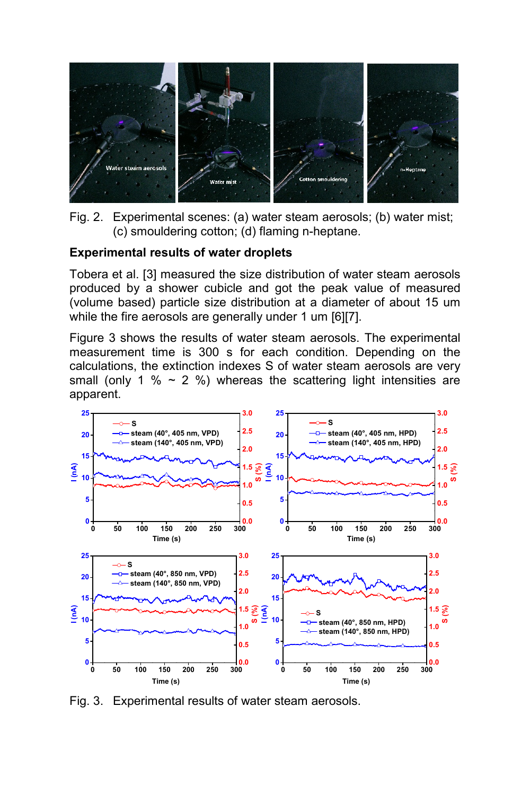

Fig. 2. Experimental scenes: (a) water steam aerosols; (b) water mist; (c) smouldering cotton; (d) flaming n-heptane.

#### **Experimental results of water droplets**

Tobera et al. [3] measured the size distribution of water steam aerosols produced by a shower cubicle and got the peak value of measured (volume based) particle size distribution at a diameter of about 15 um while the fire aerosols are generally under 1 um [6][7].

Figure 3 shows the results of water steam aerosols. The experimental measurement time is 300 s for each condition. Depending on the calculations, the extinction indexes S of water steam aerosols are very small (only 1 %  $\sim$  2 %) whereas the scattering light intensities are apparent.



Fig. 3. Experimental results of water steam aerosols.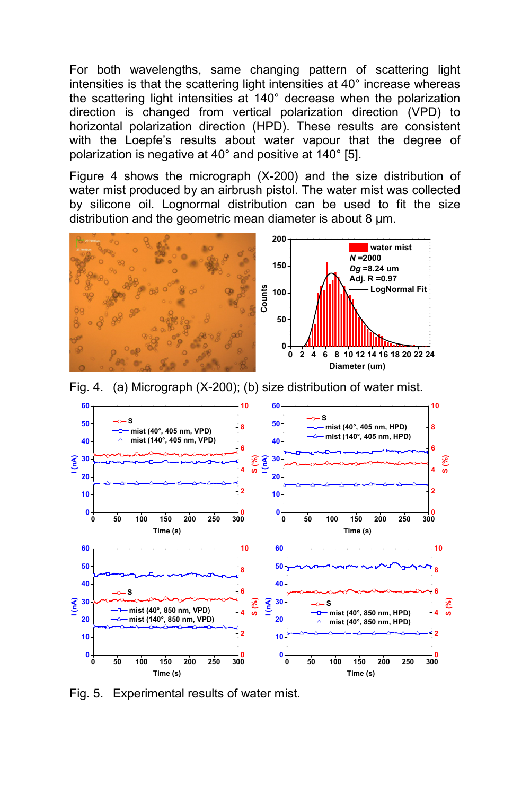For both wavelengths, same changing pattern of scattering light intensities is that the scattering light intensities at 40° increase whereas the scattering light intensities at 140° decrease when the polarization direction is changed from vertical polarization direction (VPD) to horizontal polarization direction (HPD). These results are consistent with the Loepfe's results about water vapour that the degree of polarization is negative at 40° and positive at 140° [5].

Figure 4 shows the micrograph (X-200) and the size distribution of water mist produced by an airbrush pistol. The water mist was collected by silicone oil. Lognormal distribution can be used to fit the size distribution and the geometric mean diameter is about 8  $\mu$ m.



Fig. 4. (a) Micrograph (X-200); (b) size distribution of water mist.



Fig. 5. Experimental results of water mist.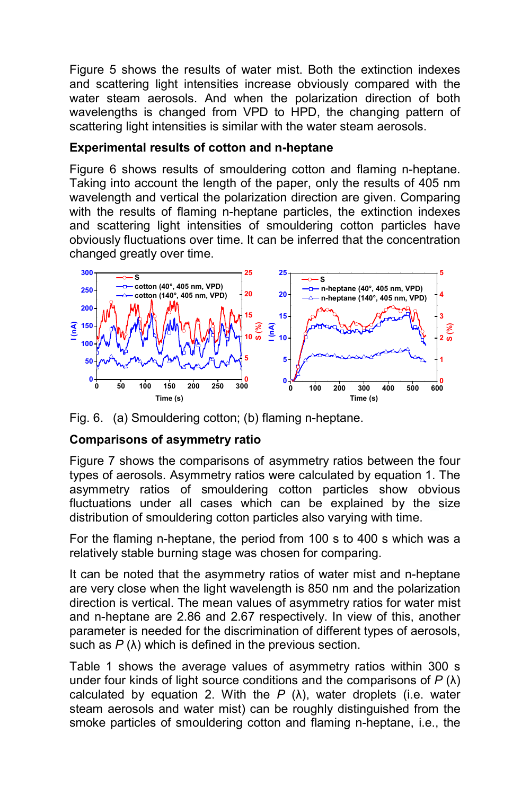Figure 5 shows the results of water mist. Both the extinction indexes and scattering light intensities increase obviously compared with the water steam aerosols. And when the polarization direction of both wavelengths is changed from VPD to HPD, the changing pattern of scattering light intensities is similar with the water steam aerosols.

## **Experimental results of cotton and n-heptane**

Figure 6 shows results of smouldering cotton and flaming n-heptane. Taking into account the length of the paper, only the results of 405 nm wavelength and vertical the polarization direction are given. Comparing with the results of flaming n-heptane particles, the extinction indexes and scattering light intensities of smouldering cotton particles have obviously fluctuations over time. It can be inferred that the concentration changed greatly over time.





## **Comparisons of asymmetry ratio**

Figure 7 shows the comparisons of asymmetry ratios between the four types of aerosols. Asymmetry ratios were calculated by equation 1. The asymmetry ratios of smouldering cotton particles show obvious fluctuations under all cases which can be explained by the size distribution of smouldering cotton particles also varying with time.

For the flaming n-heptane, the period from 100 s to 400 s which was a relatively stable burning stage was chosen for comparing.

It can be noted that the asymmetry ratios of water mist and n-heptane are very close when the light wavelength is 850 nm and the polarization direction is vertical. The mean values of asymmetry ratios for water mist and n-heptane are 2.86 and 2.67 respectively. In view of this, another parameter is needed for the discrimination of different types of aerosols, such as *P* (λ) which is defined in the previous section.

Table 1 shows the average values of asymmetry ratios within 300 s under four kinds of light source conditions and the comparisons of *P* (λ) calculated by equation 2. With the  $P(\lambda)$ , water droplets (i.e. water steam aerosols and water mist) can be roughly distinguished from the smoke particles of smouldering cotton and flaming n-heptane, i.e., the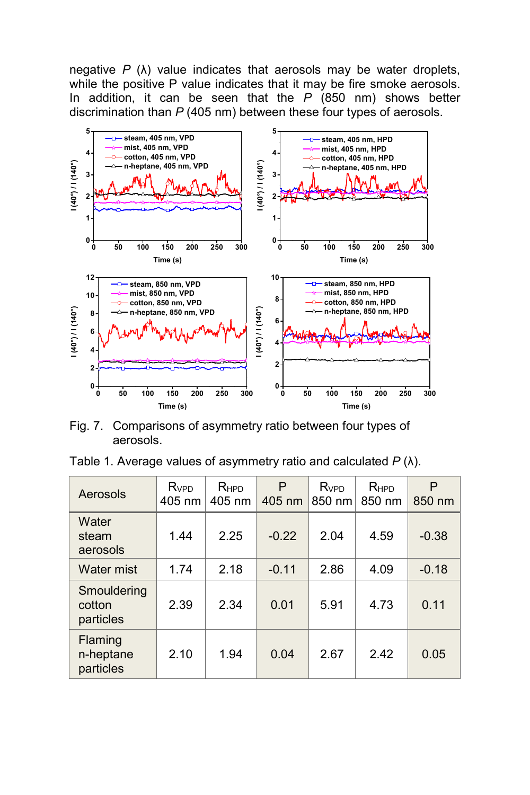negative *P* (λ) value indicates that aerosols may be water droplets, while the positive P value indicates that it may be fire smoke aerosols. In addition, it can be seen that the *P* (850 nm) shows better discrimination than *P* (405 nm) between these four types of aerosols.



Fig. 7. Comparisons of asymmetry ratio between four types of aerosols.

| Table 1. Average values of asymmetry ratio and calculated $P(\lambda)$ . |  |  |  |  |  |  |  |
|--------------------------------------------------------------------------|--|--|--|--|--|--|--|
|--------------------------------------------------------------------------|--|--|--|--|--|--|--|

| Aerosols                                 | <b>R</b> <sub>VPD</sub><br>405 nm | RHPD<br>405 nm | P<br>405 nm | <b>R</b> <sub>vPD</sub><br>850 nm | RHPD<br>850 nm | P<br>850 nm |
|------------------------------------------|-----------------------------------|----------------|-------------|-----------------------------------|----------------|-------------|
| Water<br>steam<br>aerosols               | 1.44                              | 2.25           | $-0.22$     | 2.04                              | 4.59           | $-0.38$     |
| <b>Water mist</b>                        | 1.74                              | 2.18           | $-0.11$     | 2.86                              | 4.09           | $-0.18$     |
| Smouldering<br>cotton<br>particles       | 2.39                              | 2.34           | 0.01        | 5.91                              | 4.73           | 0.11        |
| <b>Flaming</b><br>n-heptane<br>particles | 2.10                              | 1.94           | 0.04        | 2.67                              | 2.42           | 0.05        |